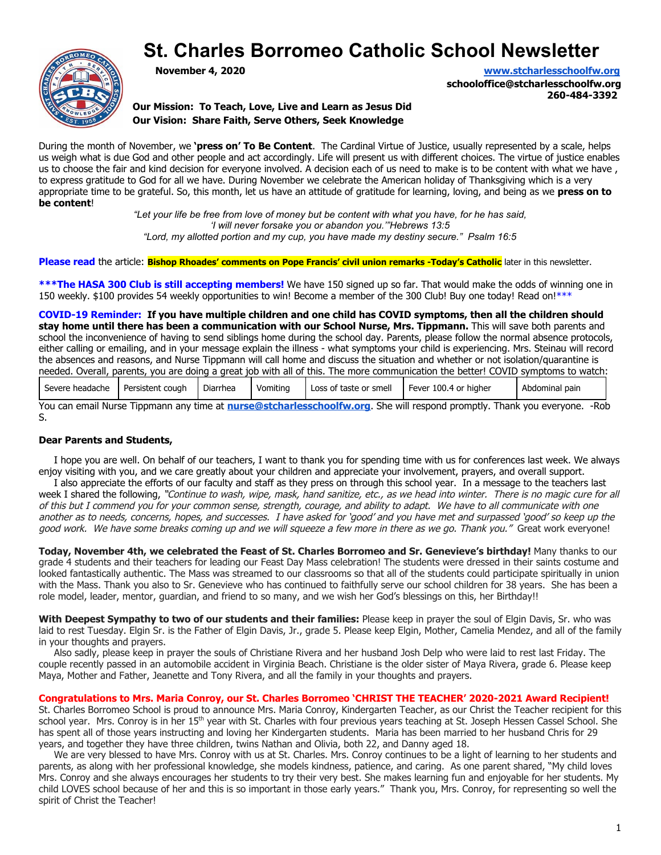# **St. Charles Borromeo Catholic School Newsletter**



**November 4, 2020 [www.stcharlesschoolfw.org](http://www.stcharlesschoolfw.org/)**

**schooloffice@stcharlesschoolfw.org 260-484-3392**

**Our Mission: To Teach, Love, Live and Learn as Jesus Did Our Vision: Share Faith, Serve Others, Seek Knowledge**

During the month of November, we **'press on' To Be Content**. The Cardinal Virtue of Justice, usually represented by a scale, helps us weigh what is due God and other people and act accordingly. Life will present us with different choices. The virtue of justice enables us to choose the fair and kind decision for everyone involved. A decision each of us need to make is to be content with what we have , to express gratitude to God for all we have. During November we celebrate the American holiday of Thanksgiving which is a very appropriate time to be grateful. So, this month, let us have an attitude of gratitude for learning, loving, and being as we **press on to be content**!

*"Let your life be free from love of money but be content with what you have, for he has said, 'I will never forsake you or abandon you.'"Hebrews 13:5 "Lord, my allotted portion and my cup, you have made my destiny secure." Psalm 16:5*

**Please read** the article: **Bishop Rhoades' comments on Pope Francis' civil union remarks -Today's Catholic** later in this newsletter.

**\*\*\*The HASA 300 Club is still accepting members!** We have 150 signed up so far. That would make the odds of winning one in 150 weekly. \$100 provides 54 weekly opportunities to win! Become a member of the 300 Club! Buy one today! Read on!\*\*\*

**COVID-19 Reminder: If you have multiple children and one child has COVID symptoms, then all the children should stay home until there has been a communication with our School Nurse, Mrs. Tippmann.** This will save both parents and school the inconvenience of having to send siblings home during the school day. Parents, please follow the normal absence protocols, either calling or emailing, and in your message explain the illness - what symptoms your child is experiencing. Mrs. Steinau will record the absences and reasons, and Nurse Tippmann will call home and discuss the situation and whether or not isolation/quarantine is needed. Overall, parents, you are doing a great job with all of this. The more communication the better! COVID symptoms to watch:

| Severe headache | Persistent cough | $\sim$<br>Diarrhea | Vomiting | Loss of taste or smell | Fever 100.4 or higher | Abdominal pain |
|-----------------|------------------|--------------------|----------|------------------------|-----------------------|----------------|
|-----------------|------------------|--------------------|----------|------------------------|-----------------------|----------------|

You can email Nurse Tippmann any time at **[nurse@stcharlesschoolfw.org](mailto:nurse@stcharlesschoolfw.org)**. She will respond promptly. Thank you everyone. -Rob S.

#### **Dear Parents and Students,**

 I hope you are well. On behalf of our teachers, I want to thank you for spending time with us for conferences last week. We always enjoy visiting with you, and we care greatly about your children and appreciate your involvement, prayers, and overall support.

 I also appreciate the efforts of our faculty and staff as they press on through this school year. In a message to the teachers last week I shared the following, "Continue to wash, wipe, mask, hand sanitize, etc., as we head into winter. There is no magic cure for all of this but I commend you for your common sense, strength, courage, and ability to adapt. We have to all communicate with one another as to needs, concerns, hopes, and successes. I have asked for 'good' and you have met and surpassed 'good' so keep up the good work. We have some breaks coming up and we will squeeze a few more in there as we go. Thank you." Great work everyone!

**Today, November 4th, we celebrated the Feast of St. Charles Borromeo and Sr. Genevieve's birthday!** Many thanks to our grade 4 students and their teachers for leading our Feast Day Mass celebration! The students were dressed in their saints costume and looked fantastically authentic. The Mass was streamed to our classrooms so that all of the students could participate spiritually in union with the Mass. Thank you also to Sr. Genevieve who has continued to faithfully serve our school children for 38 years. She has been a role model, leader, mentor, guardian, and friend to so many, and we wish her God's blessings on this, her Birthday!!

**With Deepest Sympathy to two of our students and their families:** Please keep in prayer the soul of Elgin Davis, Sr. who was laid to rest Tuesday. Elgin Sr. is the Father of Elgin Davis, Jr., grade 5. Please keep Elgin, Mother, Camelia Mendez, and all of the family in your thoughts and prayers.

 Also sadly, please keep in prayer the souls of Christiane Rivera and her husband Josh Delp who were laid to rest last Friday. The couple recently passed in an automobile accident in Virginia Beach. Christiane is the older sister of Maya Rivera, grade 6. Please keep Maya, Mother and Father, Jeanette and Tony Rivera, and all the family in your thoughts and prayers.

#### **Congratulations to Mrs. Maria Conroy, our St. Charles Borromeo 'CHRIST THE TEACHER' 2020-2021 Award Recipient!**

St. Charles Borromeo School is proud to announce Mrs. Maria Conroy, Kindergarten Teacher, as our Christ the Teacher recipient for this school year. Mrs. Conroy is in her 15<sup>th</sup> year with St. Charles with four previous years teaching at St. Joseph Hessen Cassel School. She has spent all of those years instructing and loving her Kindergarten students. Maria has been married to her husband Chris for 29 years, and together they have three children, twins Nathan and Olivia, both 22, and Danny aged 18.

 We are very blessed to have Mrs. Conroy with us at St. Charles. Mrs. Conroy continues to be a light of learning to her students and parents, as along with her professional knowledge, she models kindness, patience, and caring. As one parent shared, "My child loves Mrs. Conroy and she always encourages her students to try their very best. She makes learning fun and enjoyable for her students. My child LOVES school because of her and this is so important in those early years." Thank you, Mrs. Conroy, for representing so well the spirit of Christ the Teacher!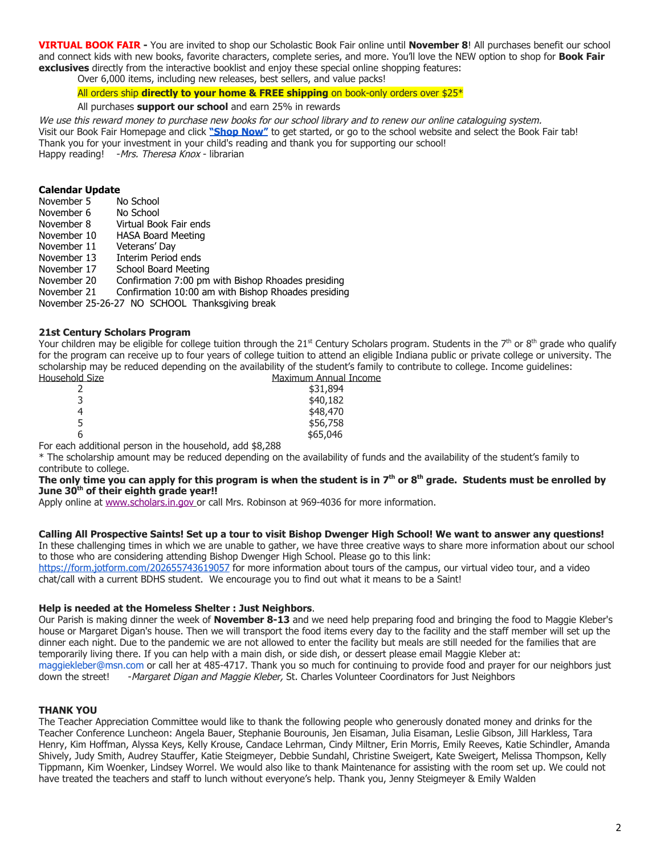**VIRTUAL BOOK FAIR -** You are invited to shop our Scholastic Book Fair online until **November 8**! All purchases benefit our school and connect kids with new books, favorite characters, complete series, and more. You'll love the NEW option to shop for **Book Fair exclusives** directly from the interactive booklist and enjoy these special online shopping features:

Over 6,000 items, including new releases, best sellers, and value packs!

#### All orders ship **directly to your home & FREE shipping** on book-only orders over \$25\*

#### All purchases **support our school** and earn 25% in rewards

We use this reward money to purchase new books for our school library and to renew our online cataloguing system. Visit our Book Fair Homepage and click **["Shop Now"](https://www.scholastic.com/bf/stcharlesborromeoschool13)** to get started, or go to the school website and select the Book Fair tab! Thank you for your investment in your child's reading and thank you for supporting our school! Happy reading! - Mrs. Theresa Knox - librarian

#### **Calendar Update**

| November 5  | No School                                           |
|-------------|-----------------------------------------------------|
| November 6  | No School                                           |
| November 8  | Virtual Book Fair ends                              |
| November 10 | <b>HASA Board Meeting</b>                           |
| November 11 | Veterans' Day                                       |
| November 13 | Interim Period ends                                 |
| November 17 | School Board Meeting                                |
| November 20 | Confirmation 7:00 pm with Bishop Rhoades presiding  |
| November 21 | Confirmation 10:00 am with Bishop Rhoades presiding |
|             | November 25-26-27 NO SCHOOL Thanksgiving break      |

#### **21st Century Scholars Program**

Your children may be eligible for college tuition through the 21st Century Scholars program. Students in the 7th or 8th grade who qualify for the program can receive up to four years of college tuition to attend an eligible Indiana public or private college or university. The scholarship may be reduced depending on the availability of the student's family to contribute to college. Income guidelines: Maximum Annual Income

| <u>TIUIU JIZE</u> |                   | <u>Maxilliulli Aliliudi </u> |
|-------------------|-------------------|------------------------------|
|                   |                   | \$31,894                     |
| 3                 |                   | \$40,182                     |
| 4                 |                   | \$48,470                     |
|                   |                   | \$56,758                     |
| ь                 |                   | \$65,046                     |
| .                 | <br>.<br>. .<br>. |                              |

For each additional person in the household, add \$8,288

\* The scholarship amount may be reduced depending on the availability of funds and the availability of the student's family to contribute to college.

#### **The only time you can apply for this program is when the student is in 7th or 8th grade. Students must be enrolled by June 30th of their eighth grade year!!**

Apply online at [www.scholars.in.gov](http://www.scholars.in.gov/) or call Mrs. Robinson at 969-4036 for more information.

# **Calling All Prospective Saints! Set up a tour to visit Bishop Dwenger High School! We want to answer any questions!**

In these challenging times in which we are unable to gather, we have three creative ways to share more information about our school to those who are considering attending Bishop Dwenger High School. Please go to this link:

<https://form.jotform.com/202655743619057>for more information about tours of the campus, our virtual video tour, and a video chat/call with a current BDHS student. We encourage you to find out what it means to be a Saint!

#### **Help is needed at the Homeless Shelter : Just Neighbors**.

Our Parish is making dinner the week of **November 8-13** and we need help preparing food and bringing the food to Maggie Kleber's house or Margaret Digan's house. Then we will transport the food items every day to the facility and the staff member will set up the dinner each night. Due to the pandemic we are not allowed to enter the facility but meals are still needed for the families that are temporarily living there. If you can help with a main dish, or side dish, or dessert please email Maggie Kleber at: maggiekleber@msn.com or call her at 485-4717. Thank you so much for continuing to provide food and prayer for our neighbors just down the street! - Margaret Digan and Maggie Kleber, St. Charles Volunteer Coordinators for J -Margaret Digan and Maggie Kleber, St. Charles Volunteer Coordinators for Just Neighbors

#### **THANK YOU**

The Teacher Appreciation Committee would like to thank the following people who generously donated money and drinks for the Teacher Conference Luncheon: Angela Bauer, Stephanie Bourounis, Jen Eisaman, Julia Eisaman, Leslie Gibson, Jill Harkless, Tara Henry, Kim Hoffman, Alyssa Keys, Kelly Krouse, Candace Lehrman, Cindy Miltner, Erin Morris, Emily Reeves, Katie Schindler, Amanda Shively, Judy Smith, Audrey Stauffer, Katie Steigmeyer, Debbie Sundahl, Christine Sweigert, Kate Sweigert, Melissa Thompson, Kelly Tippmann, Kim Woenker, Lindsey Worrel. We would also like to thank Maintenance for assisting with the room set up. We could not have treated the teachers and staff to lunch without everyone's help. Thank you, Jenny Steigmeyer & Emily Walden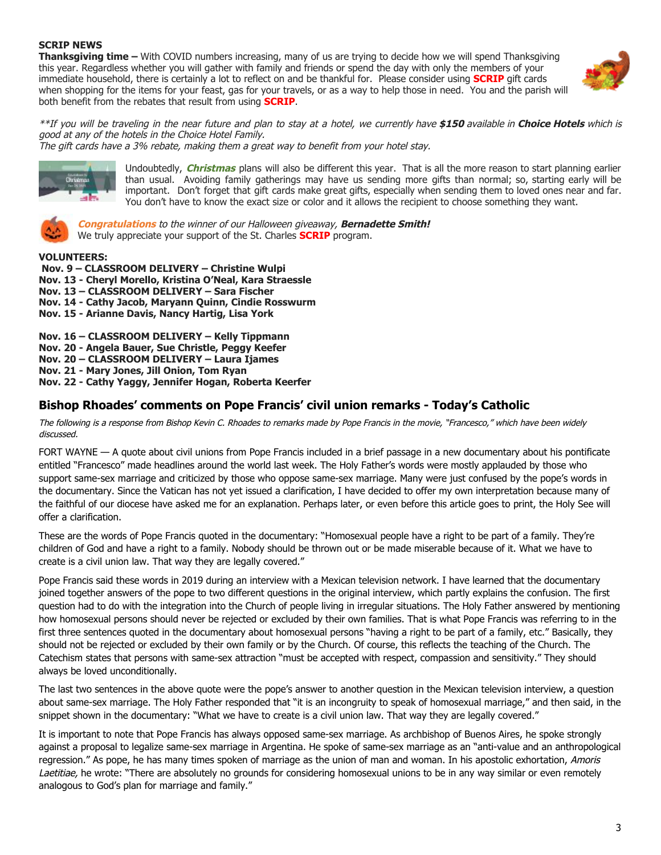#### **SCRIP NEWS**

**Thanksgiving time –** With COVID numbers increasing, many of us are trying to decide how we will spend Thanksgiving this year. Regardless whether you will gather with family and friends or spend the day with only the members of your immediate household, there is certainly a lot to reflect on and be thankful for. Please consider using **SCRIP** gift cards when shopping for the items for your feast, gas for your travels, or as a way to help those in need. You and the parish will both benefit from the rebates that result from using **SCRIP**.



\*\*If you will be traveling in the near future and plan to stay at <sup>a</sup> hotel, we currently have **\$150** available in **Choice Hotels** which is good at any of the hotels in the Choice Hotel Family.

The gift cards have a 3% rebate, making them a great way to benefit from your hotel stay.



Undoubtedly, **Christmas** plans will also be different this year. That is all the more reason to start planning earlier than usual. Avoiding family gatherings may have us sending more gifts than normal; so, starting early will be important. Don't forget that gift cards make great gifts, especially when sending them to loved ones near and far. You don't have to know the exact size or color and it allows the recipient to choose something they want.



**Congratulations** to the winner of our Halloween giveaway, **Bernadette Smith!** We truly appreciate your support of the St. Charles **SCRIP** program.

#### **VOLUNTEERS:**

 **Nov. 9 – CLASSROOM DELIVERY – Christine Wulpi Nov. 13 - Cheryl Morello, Kristina O'Neal, Kara Straessle Nov. 13 – CLASSROOM DELIVERY – Sara Fischer Nov. 14 - Cathy Jacob, Maryann Quinn, Cindie Rosswurm Nov. 15 - Arianne Davis, Nancy Hartig, Lisa York**

**Nov. 16 – CLASSROOM DELIVERY – Kelly Tippmann Nov. 20 - Angela Bauer, Sue Christle, Peggy Keefer Nov. 20 – CLASSROOM DELIVERY – Laura Ijames Nov. 21 - Mary Jones, Jill Onion, Tom Ryan Nov. 22 - Cathy Yaggy, Jennifer Hogan, Roberta Keerfer**

## **Bishop Rhoades' comments on Pope Francis' civil union remarks - Today's Catholic**

The following is a response from Bishop Kevin C. Rhoades to remarks made by Pope Francis in the movie, "Francesco," which have been widely discussed.

FORT WAYNE — A quote about civil unions from Pope Francis included in a brief passage in a new documentary about his pontificate entitled "Francesco" made headlines around the world last week. The Holy Father's words were mostly applauded by those who support same-sex marriage and criticized by those who oppose same-sex marriage. Many were just confused by the pope's words in the documentary. Since the Vatican has not yet issued a clarification, I have decided to offer my own interpretation because many of the faithful of our diocese have asked me for an explanation. Perhaps later, or even before this article goes to print, the Holy See will offer a clarification.

These are the words of Pope Francis quoted in the documentary: "Homosexual people have a right to be part of a family. They're children of God and have a right to a family. Nobody should be thrown out or be made miserable because of it. What we have to create is a civil union law. That way they are legally covered."

Pope Francis said these words in 2019 during an interview with a Mexican television network. I have learned that the documentary joined together answers of the pope to two different questions in the original interview, which partly explains the confusion. The first question had to do with the integration into the Church of people living in irregular situations. The Holy Father answered by mentioning how homosexual persons should never be rejected or excluded by their own families. That is what Pope Francis was referring to in the first three sentences quoted in the documentary about homosexual persons "having a right to be part of a family, etc." Basically, they should not be rejected or excluded by their own family or by the Church. Of course, this reflects the teaching of the Church. The Catechism states that persons with same-sex attraction "must be accepted with respect, compassion and sensitivity." They should always be loved unconditionally.

The last two sentences in the above quote were the pope's answer to another question in the Mexican television interview, a question about same-sex marriage. The Holy Father responded that "it is an incongruity to speak of homosexual marriage," and then said, in the snippet shown in the documentary: "What we have to create is a civil union law. That way they are legally covered."

It is important to note that Pope Francis has always opposed same-sex marriage. As archbishop of Buenos Aires, he spoke strongly against a proposal to legalize same-sex marriage in Argentina. He spoke of same-sex marriage as an "anti-value and an anthropological regression." As pope, he has many times spoken of marriage as the union of man and woman. In his apostolic exhortation, Amoris Laetitiae, he wrote: "There are absolutely no grounds for considering homosexual unions to be in any way similar or even remotely analogous to God's plan for marriage and family."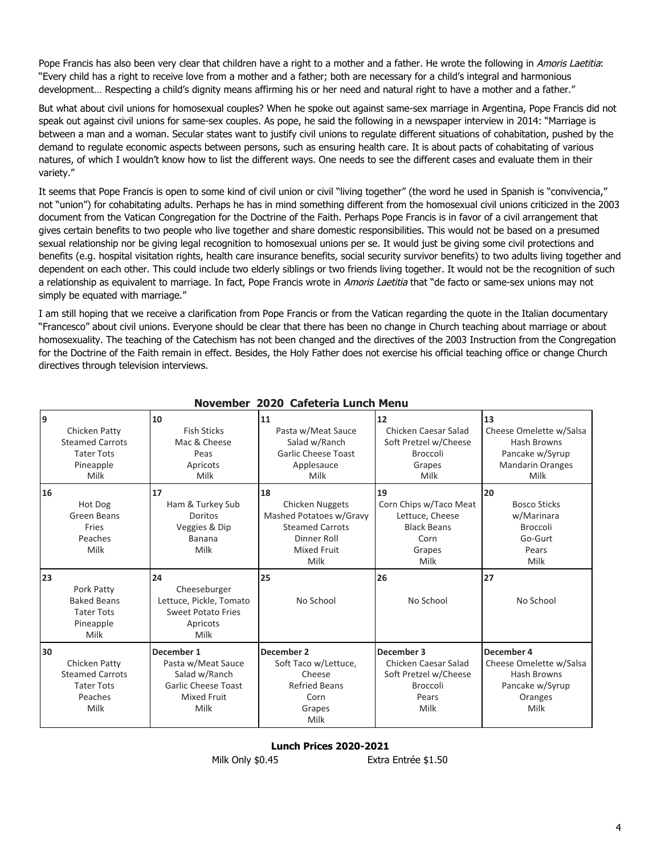Pope Francis has also been very clear that children have a right to a mother and a father. He wrote the following in Amoris Laetitia: "Every child has a right to receive love from a mother and a father; both are necessary for a child's integral and harmonious development… Respecting a child's dignity means affirming his or her need and natural right to have a mother and a father."

But what about civil unions for homosexual couples? When he spoke out against same-sex marriage in Argentina, Pope Francis did not speak out against civil unions for same-sex couples. As pope, he said the following in a newspaper interview in 2014: "Marriage is between a man and a woman. Secular states want to justify civil unions to regulate different situations of cohabitation, pushed by the demand to regulate economic aspects between persons, such as ensuring health care. It is about pacts of cohabitating of various natures, of which I wouldn't know how to list the different ways. One needs to see the different cases and evaluate them in their variety."

It seems that Pope Francis is open to some kind of civil union or civil "living together" (the word he used in Spanish is "convivencia," not "union") for cohabitating adults. Perhaps he has in mind something different from the homosexual civil unions criticized in the 2003 document from the Vatican Congregation for the Doctrine of the Faith. Perhaps Pope Francis is in favor of a civil arrangement that gives certain benefits to two people who live together and share domestic responsibilities. This would not be based on a presumed sexual relationship nor be giving legal recognition to homosexual unions per se. It would just be giving some civil protections and benefits (e.g. hospital visitation rights, health care insurance benefits, social security survivor benefits) to two adults living together and dependent on each other. This could include two elderly siblings or two friends living together. It would not be the recognition of such a relationship as equivalent to marriage. In fact, Pope Francis wrote in Amoris Laetitia that "de facto or same-sex unions may not simply be equated with marriage."

I am still hoping that we receive a clarification from Pope Francis or from the Vatican regarding the quote in the Italian documentary "Francesco" about civil unions. Everyone should be clear that there has been no change in Church teaching about marriage or about homosexuality. The teaching of the Catechism has not been changed and the directives of the 2003 Instruction from the Congregation for the Doctrine of the Faith remain in effect. Besides, the Holy Father does not exercise his official teaching office or change Church directives through television interviews.

|    |                                                                                   | NUVCIIIDCI                                                                                                    | <b>ZUZU CAIECHIA LUIICII MENU</b>                                                                                       |                                                                                                 |                                                                                             |
|----|-----------------------------------------------------------------------------------|---------------------------------------------------------------------------------------------------------------|-------------------------------------------------------------------------------------------------------------------------|-------------------------------------------------------------------------------------------------|---------------------------------------------------------------------------------------------|
| 9  | Chicken Patty<br><b>Steamed Carrots</b><br><b>Tater Tots</b><br>Pineapple<br>Milk | 10<br><b>Fish Sticks</b><br>Mac & Cheese<br>Peas<br>Apricots<br>Milk                                          | 11<br>Pasta w/Meat Sauce<br>Salad w/Ranch<br><b>Garlic Cheese Toast</b><br>Applesauce<br>Milk                           | 12<br>Chicken Caesar Salad<br>Soft Pretzel w/Cheese<br><b>Broccoli</b><br>Grapes<br>Milk        | 13<br>Cheese Omelette w/Salsa<br>Hash Browns<br>Pancake w/Syrup<br>Mandarin Oranges<br>Milk |
| 16 | Hot Dog<br>Green Beans<br>Fries<br>Peaches<br>Milk                                | 17<br>Ham & Turkey Sub<br>Doritos<br>Veggies & Dip<br>Banana<br>Milk                                          | 18<br>Chicken Nuggets<br>Mashed Potatoes w/Gravy<br><b>Steamed Carrots</b><br>Dinner Roll<br><b>Mixed Fruit</b><br>Milk | 19<br>Corn Chips w/Taco Meat<br>Lettuce, Cheese<br><b>Black Beans</b><br>Corn<br>Grapes<br>Milk | 20<br><b>Bosco Sticks</b><br>w/Marinara<br><b>Broccoli</b><br>Go-Gurt<br>Pears<br>Milk      |
| 23 | Pork Patty<br><b>Baked Beans</b><br><b>Tater Tots</b><br>Pineapple<br>Milk        | 24<br>Cheeseburger<br>Lettuce, Pickle, Tomato<br><b>Sweet Potato Fries</b><br>Apricots<br>Milk                | 25<br>No School                                                                                                         | 26<br>No School                                                                                 | 27<br>No School                                                                             |
| 30 | Chicken Patty<br><b>Steamed Carrots</b><br><b>Tater Tots</b><br>Peaches<br>Milk   | December 1<br>Pasta w/Meat Sauce<br>Salad w/Ranch<br><b>Garlic Cheese Toast</b><br><b>Mixed Fruit</b><br>Milk | December 2<br>Soft Taco w/Lettuce,<br>Cheese<br><b>Refried Beans</b><br>Corn<br>Grapes<br>Milk                          | December 3<br>Chicken Caesar Salad<br>Soft Pretzel w/Cheese<br><b>Broccoli</b><br>Pears<br>Milk | December 4<br>Cheese Omelette w/Salsa<br>Hash Browns<br>Pancake w/Syrup<br>Oranges<br>Milk  |

### **November 2020 Cafeteria Lunch Menu**

#### **Lunch Prices 2020-2021**

Milk Only \$0.45 Extra Entrée \$1.50